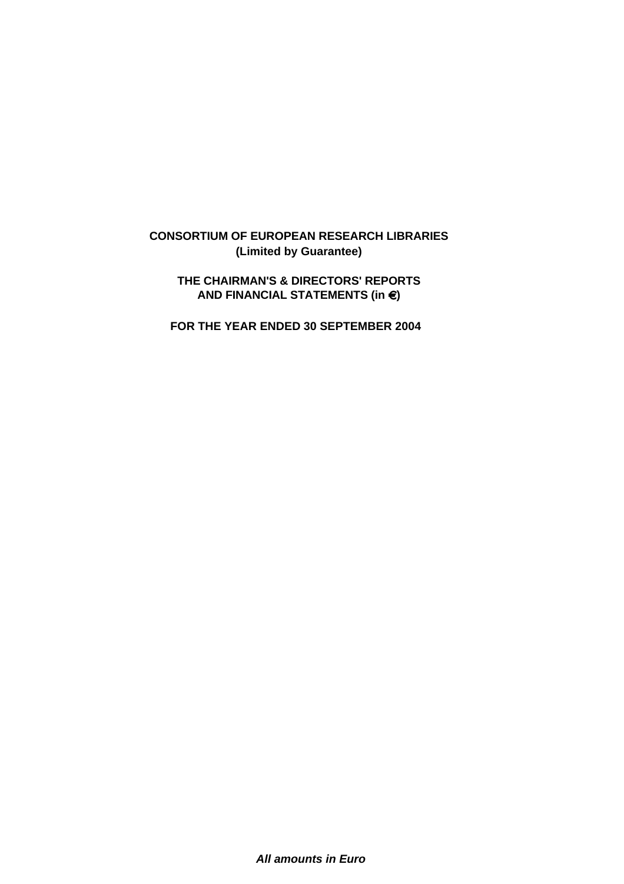# **THE CHAIRMAN'S & DIRECTORS' REPORTS**  $\overline{P}$  and financial statements (in  $\in$ )

 **FOR THE YEAR ENDED 30 SEPTEMBER 2004**

*All amounts in Euro*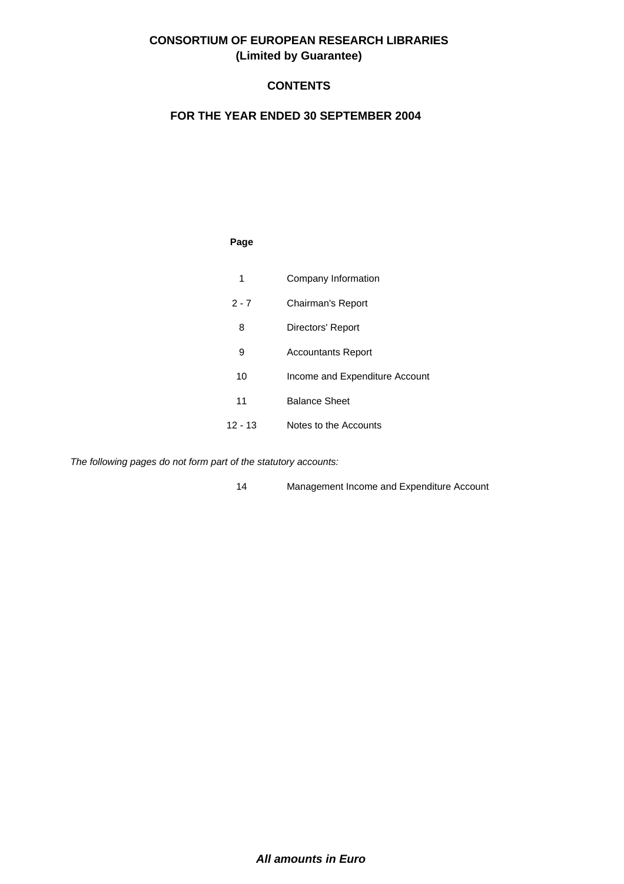## **CONTENTS**

#### **FOR THE YEAR ENDED 30 SEPTEMBER 2004**

#### **Page**

| 1       | Company Information            |
|---------|--------------------------------|
| $2 - 7$ | Chairman's Report              |
| 8       | Directors' Report              |
| 9       | <b>Accountants Report</b>      |
| 10      | Income and Expenditure Account |
| 11      | <b>Balance Sheet</b>           |
| 12 - 13 | Notes to the Accounts          |

*The following pages do not form part of the statutory accounts:*

14 Management Income and Expenditure Account

*All amounts in Euro*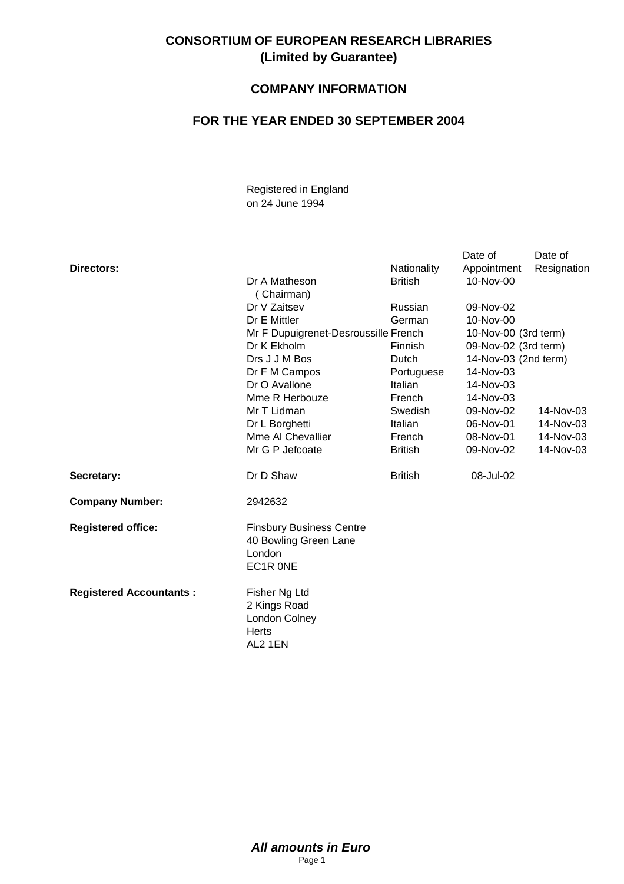## **COMPANY INFORMATION**

## **FOR THE YEAR ENDED 30 SEPTEMBER 2004**

Registered in England on 24 June 1994

|                                |                                                                                |                | Date of              | Date of     |
|--------------------------------|--------------------------------------------------------------------------------|----------------|----------------------|-------------|
| Directors:                     |                                                                                | Nationality    | Appointment          | Resignation |
|                                | Dr A Matheson                                                                  | <b>British</b> | 10-Nov-00            |             |
|                                | (Chairman)                                                                     |                |                      |             |
|                                | Dr V Zaitsev                                                                   | Russian        | 09-Nov-02            |             |
|                                | Dr E Mittler                                                                   | German         | 10-Nov-00            |             |
|                                | Mr F Dupuigrenet-Desroussille French                                           |                | 10-Nov-00 (3rd term) |             |
|                                | Dr K Ekholm                                                                    | Finnish        | 09-Nov-02 (3rd term) |             |
|                                | Drs J J M Bos                                                                  | Dutch          | 14-Nov-03 (2nd term) |             |
|                                | Dr F M Campos                                                                  | Portuguese     | 14-Nov-03            |             |
|                                | Dr O Avallone                                                                  | Italian        | 14-Nov-03            |             |
|                                | Mme R Herbouze                                                                 | French         | 14-Nov-03            |             |
|                                | Mr T Lidman                                                                    | Swedish        | 09-Nov-02            | 14-Nov-03   |
|                                | Dr L Borghetti                                                                 | Italian        | 06-Nov-01            | 14-Nov-03   |
|                                | Mme AI Chevallier                                                              | French         | 08-Nov-01            | 14-Nov-03   |
|                                | Mr G P Jefcoate                                                                | <b>British</b> | 09-Nov-02            | 14-Nov-03   |
| Secretary:                     | Dr D Shaw                                                                      | <b>British</b> | 08-Jul-02            |             |
| <b>Company Number:</b>         | 2942632                                                                        |                |                      |             |
| <b>Registered office:</b>      | <b>Finsbury Business Centre</b><br>40 Bowling Green Lane<br>London<br>EC1R ONE |                |                      |             |
| <b>Registered Accountants:</b> | Fisher Ng Ltd<br>2 Kings Road<br>London Colney<br>Herts<br>AL2 1EN             |                |                      |             |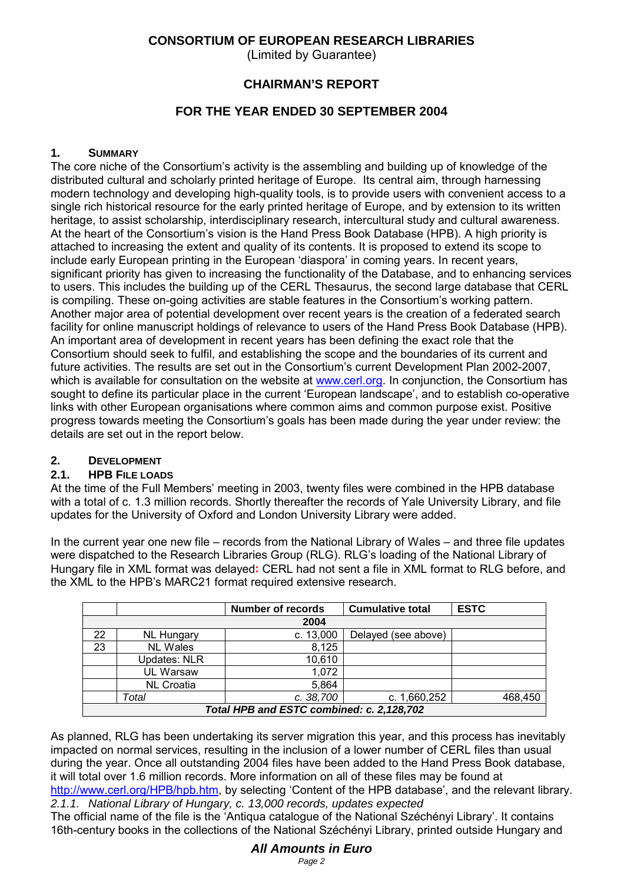(Limited by Guarantee)

### **CHAIRMAN'S REPORT**

## **FOR THE YEAR ENDED 30 SEPTEMBER 2004**

#### **1. SUMMARY**

The core niche of the Consortium's activity is the assembling and building up of knowledge of the distributed cultural and scholarly printed heritage of Europe. Its central aim, through harnessing modern technology and developing high-quality tools, is to provide users with convenient access to a single rich historical resource for the early printed heritage of Europe, and by extension to its written heritage, to assist scholarship, interdisciplinary research, intercultural study and cultural awareness. At the heart of the Consortium's vision is the Hand Press Book Database (HPB). A high priority is attached to increasing the extent and quality of its contents. It is proposed to extend its scope to include early European printing in the European 'diaspora' in coming years. In recent years, significant priority has given to increasing the functionality of the Database, and to enhancing services to users. This includes the building up of the CERL Thesaurus, the second large database that CERL is compiling. These on-going activities are stable features in the Consortium's working pattern. Another major area of potential development over recent years is the creation of a federated search facility for online manuscript holdings of relevance to users of the Hand Press Book Database (HPB). An important area of development in recent years has been defining the exact role that the Consortium should seek to fulfil, and establishing the scope and the boundaries of its current and future activities. The results are set out in the Consortium's current Development Plan 2002-2007, which is available for consultation on the website at www.cerl.org. In conjunction, the Consortium has sought to define its particular place in the current 'European landscape', and to establish co-operative links with other European organisations where common aims and common purpose exist. Positive progress towards meeting the Consortium's goals has been made during the year under review: the details are set out in the report below.

## **2. DEVELOPMENT**

#### **2.1. HPB FILE LOADS**

At the time of the Full Members' meeting in 2003, twenty files were combined in the HPB database with a total of c. 1.3 million records. Shortly thereafter the records of Yale University Library, and file updates for the University of Oxford and London University Library were added.

In the current year one new file – records from the National Library of Wales – and three file updates were dispatched to the Research Libraries Group (RLG). RLG's loading of the National Library of Hungary file in XML format was delayed**:** CERL had not sent a file in XML format to RLG before, and the XML to the HPB's MARC21 format required extensive research.

|                                           |                     | <b>Number of records</b> | <b>Cumulative total</b> | <b>ESTC</b> |  |  |  |
|-------------------------------------------|---------------------|--------------------------|-------------------------|-------------|--|--|--|
| 2004                                      |                     |                          |                         |             |  |  |  |
| 22                                        | <b>NL Hungary</b>   | c. 13,000                | Delayed (see above)     |             |  |  |  |
| 23                                        | <b>NL Wales</b>     | 8,125                    |                         |             |  |  |  |
|                                           | <b>Updates: NLR</b> | 10,610                   |                         |             |  |  |  |
|                                           | <b>UL Warsaw</b>    | 1,072                    |                         |             |  |  |  |
|                                           | <b>NL Croatia</b>   | 5,864                    |                         |             |  |  |  |
|                                           | Total               | c. 38,700                | c. 1,660,252            | 468,450     |  |  |  |
| Total HPB and ESTC combined: c. 2,128,702 |                     |                          |                         |             |  |  |  |

As planned, RLG has been undertaking its server migration this year, and this process has inevitably impacted on normal services, resulting in the inclusion of a lower number of CERL files than usual during the year. Once all outstanding 2004 files have been added to the Hand Press Book database, it will total over 1.6 million records. More information on all of these files may be found at http://www.cerl.org/HPB/hpb.htm, by selecting 'Content of the HPB database', and the relevant library. *2.1.1. National Library of Hungary, c. 13,000 records, updates expected*

The official name of the file is the 'Antiqua catalogue of the National Széchényi Library'. It contains 16th-century books in the collections of the National Széchényi Library, printed outside Hungary and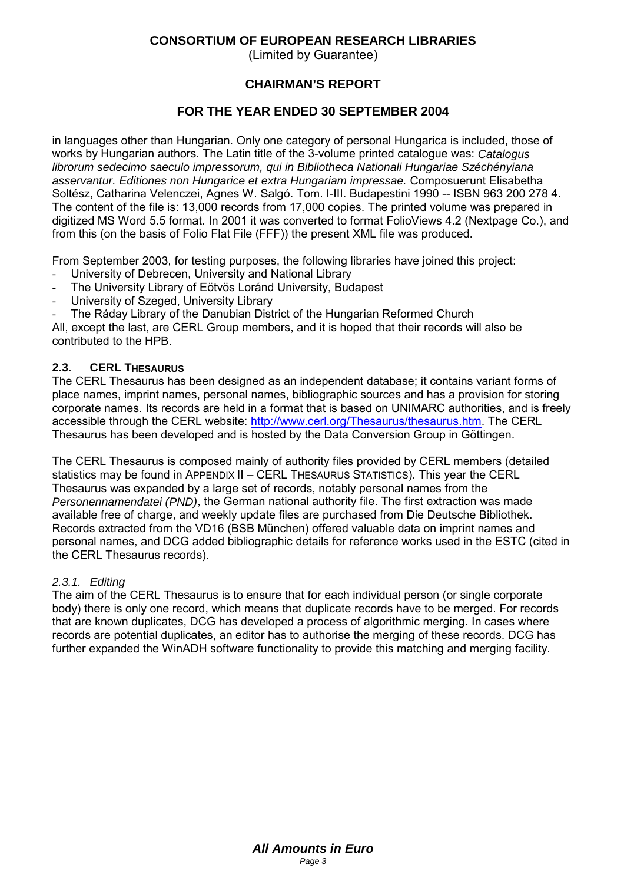(Limited by Guarantee)

## **CHAIRMAN'S REPORT**

### **FOR THE YEAR ENDED 30 SEPTEMBER 2004**

in languages other than Hungarian. Only one category of personal Hungarica is included, those of works by Hungarian authors. The Latin title of the 3-volume printed catalogue was: *Catalogus librorum sedecimo saeculo impressorum, qui in Bibliotheca Nationali Hungariae Széchényiana asservantur. Editiones non Hungarice et extra Hungariam impressae.* Composuerunt Elisabetha Soltész, Catharina Velenczei, Agnes W. Salgó. Tom. I-III. Budapestini 1990 -- ISBN 963 200 278 4. The content of the file is: 13,000 records from 17,000 copies. The printed volume was prepared in digitized MS Word 5.5 format. In 2001 it was converted to format FolioViews 4.2 (Nextpage Co.), and from this (on the basis of Folio Flat File (FFF)) the present XML file was produced.

From September 2003, for testing purposes, the following libraries have joined this project:

- University of Debrecen, University and National Library
- The University Library of Eötvös Loránd University, Budapest
- University of Szeged, University Library
- The Ráday Library of the Danubian District of the Hungarian Reformed Church

All, except the last, are CERL Group members, and it is hoped that their records will also be contributed to the HPB.

#### **2.3. CERL THESAURUS**

The CERL Thesaurus has been designed as an independent database; it contains variant forms of place names, imprint names, personal names, bibliographic sources and has a provision for storing corporate names. Its records are held in a format that is based on UNIMARC authorities, and is freely accessible through the CERL website: http://www.cerl.org/Thesaurus/thesaurus.htm. The CERL Thesaurus has been developed and is hosted by the Data Conversion Group in Göttingen.

The CERL Thesaurus is composed mainly of authority files provided by CERL members (detailed statistics may be found in APPENDIX II – CERL THESAURUS STATISTICS). This year the CERL Thesaurus was expanded by a large set of records, notably personal names from the *Personennamendatei (PND)*, the German national authority file. The first extraction was made available free of charge, and weekly update files are purchased from Die Deutsche Bibliothek. Records extracted from the VD16 (BSB München) offered valuable data on imprint names and personal names, and DCG added bibliographic details for reference works used in the ESTC (cited in the CERL Thesaurus records).

#### *2.3.1. Editing*

The aim of the CERL Thesaurus is to ensure that for each individual person (or single corporate body) there is only one record, which means that duplicate records have to be merged. For records that are known duplicates, DCG has developed a process of algorithmic merging. In cases where records are potential duplicates, an editor has to authorise the merging of these records. DCG has further expanded the WinADH software functionality to provide this matching and merging facility.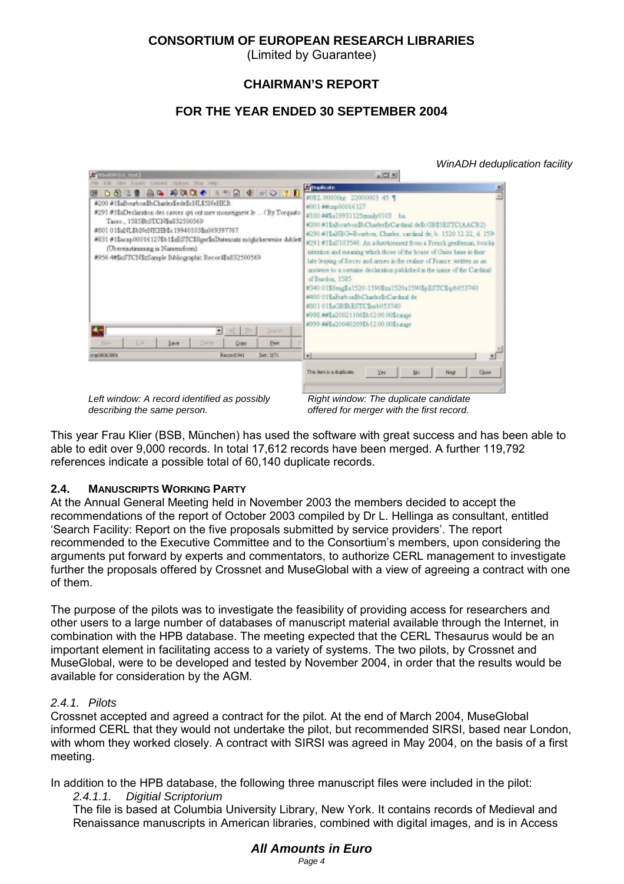(Limited by Guarantee)

### **CHAIRMAN'S REPORT**

## **FOR THE YEAR ENDED 30 SEPTEMBER 2004**

|                                                                                                                                                                                                                                                                                                  |                                                                                                                                                                                                    | WinADH deduplication facility                                                                                                                                                                                                                                                                                                                                                                                                                                                                                                                                                                                                                                                                                                                                                                                                   |
|--------------------------------------------------------------------------------------------------------------------------------------------------------------------------------------------------------------------------------------------------------------------------------------------------|----------------------------------------------------------------------------------------------------------------------------------------------------------------------------------------------------|---------------------------------------------------------------------------------------------------------------------------------------------------------------------------------------------------------------------------------------------------------------------------------------------------------------------------------------------------------------------------------------------------------------------------------------------------------------------------------------------------------------------------------------------------------------------------------------------------------------------------------------------------------------------------------------------------------------------------------------------------------------------------------------------------------------------------------|
| <b>CONVINGERED</b><br>Edit Yery Export Connect Options Stop Help<br>#200 #18aBourbon\$bCharles\$ede\$cNL\$5NeHKB<br>Targo_1585\$bSTCN\$a832500569<br>#801 01\$aNL\$bNeNKHB\$c19940103\$6069397767<br>(Ubereinstimmung in Nammsform).<br>#956 4#\$65TCN\$zSample Bibliographic Becord\$4832500569 | B 2 2 2 2 A 2 2 R Q ◆ A 1 2 R ↓ N ○ ? D<br>#291 #1\$aDeclaration des causes qui ont meu monseigneur le  / By Torquato<br>#831 #1\$acap00016127\$b1\$zESTC\$8ger\$nDateasatz möglicherweise dublet: | x(0 x)<br><b><i><u>Cipadrate</u></i></b><br>즈<br>#0BL 00000xg 22000003 45 %<br>#001 ##czp00016127<br>#100 ##\$a19931125mmky0103 ba<br>#200 #1\$all-out-on\$b Charles InCardinal de\$cGB\$5ESTC(AACR2)<br>#290 #1\$aNEG=Bourbon, Charles, cardinal de, b. 1520.12.22, d. 159-<br>#291 #1\$a5103546: An adsertirement from a French gentleman, touchis<br>intention and meaning which those of the house of Cuise haus in their<br>late leaying of forces and armes in the realme of France: written as an<br>answere to a certaine declaration published in the name of the Cardinal<br>of Burdon, 1585<br>#340 01\$8eng\$a1520-1590\$ma1520a1590\$pESTC\$qrb053740<br>#400 01\$aBurbon\$bCharler\$rCardinal de<br>#80101\$aGB\$bESTC\$mb053740<br>#998 ##\$a20021106\$b12:00:00\$cause<br>4999 A4\$a20040209\$b12:00:00\$catage |
| Erik.<br>Bev.<br>Save.                                                                                                                                                                                                                                                                           | Stady<br><b>CD</b><br>$\blacksquare$<br>Pirt<br>Corw                                                                                                                                               |                                                                                                                                                                                                                                                                                                                                                                                                                                                                                                                                                                                                                                                                                                                                                                                                                                 |
| cr@0806380t                                                                                                                                                                                                                                                                                      | Record:941<br>Set: 3(7)                                                                                                                                                                            | ×1<br>This item is a duplicate:<br>204<br>Один<br>Neut                                                                                                                                                                                                                                                                                                                                                                                                                                                                                                                                                                                                                                                                                                                                                                          |
|                                                                                                                                                                                                                                                                                                  | Left window: A record identified as possibly                                                                                                                                                       | Right window: The duplicate candidate                                                                                                                                                                                                                                                                                                                                                                                                                                                                                                                                                                                                                                                                                                                                                                                           |

*describing the same person.*

*offered for merger with the first record.*

This year Frau Klier (BSB, München) has used the software with great success and has been able to able to edit over 9,000 records. In total 17,612 records have been merged. A further 119,792 references indicate a possible total of 60,140 duplicate records.

#### **2.4. MANUSCRIPTS WORKING PARTY**

At the Annual General Meeting held in November 2003 the members decided to accept the recommendations of the report of October 2003 compiled by Dr L. Hellinga as consultant, entitled 'Search Facility: Report on the five proposals submitted by service providers'. The report recommended to the Executive Committee and to the Consortium's members, upon considering the arguments put forward by experts and commentators, to authorize CERL management to investigate further the proposals offered by Crossnet and MuseGlobal with a view of agreeing a contract with one of them.

The purpose of the pilots was to investigate the feasibility of providing access for researchers and other users to a large number of databases of manuscript material available through the Internet, in combination with the HPB database. The meeting expected that the CERL Thesaurus would be an important element in facilitating access to a variety of systems. The two pilots, by Crossnet and MuseGlobal, were to be developed and tested by November 2004, in order that the results would be available for consideration by the AGM.

#### *2.4.1. Pilots*

Crossnet accepted and agreed a contract for the pilot. At the end of March 2004, MuseGlobal informed CERL that they would not undertake the pilot, but recommended SIRSI, based near London, with whom they worked closely. A contract with SIRSI was agreed in May 2004, on the basis of a first meeting.

In addition to the HPB database, the following three manuscript files were included in the pilot:

#### *2.4.1.1. Digitial Scriptorium*

The file is based at Columbia University Library, New York. It contains records of Medieval and Renaissance manuscripts in American libraries, combined with digital images, and is in Access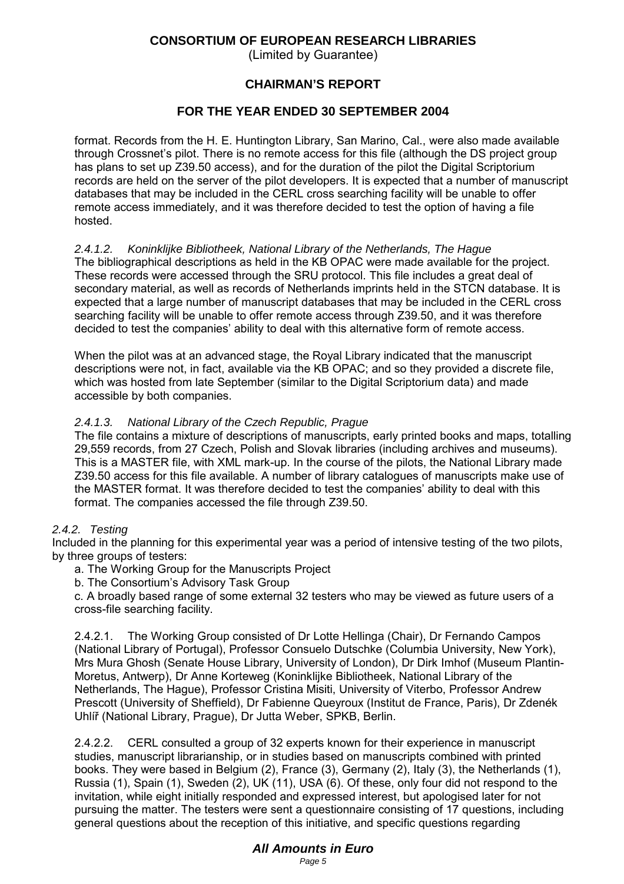(Limited by Guarantee)

### **CHAIRMAN'S REPORT**

#### **FOR THE YEAR ENDED 30 SEPTEMBER 2004**

format. Records from the H. E. Huntington Library, San Marino, Cal., were also made available through Crossnet's pilot. There is no remote access for this file (although the DS project group has plans to set up Z39.50 access), and for the duration of the pilot the Digital Scriptorium records are held on the server of the pilot developers. It is expected that a number of manuscript databases that may be included in the CERL cross searching facility will be unable to offer remote access immediately, and it was therefore decided to test the option of having a file hosted.

#### *2.4.1.2. Koninklijke Bibliotheek, National Library of the Netherlands, The Hague*

The bibliographical descriptions as held in the KB OPAC were made available for the project. These records were accessed through the SRU protocol. This file includes a great deal of secondary material, as well as records of Netherlands imprints held in the STCN database. It is expected that a large number of manuscript databases that may be included in the CERL cross searching facility will be unable to offer remote access through Z39.50, and it was therefore decided to test the companies' ability to deal with this alternative form of remote access.

When the pilot was at an advanced stage, the Royal Library indicated that the manuscript descriptions were not, in fact, available via the KB OPAC; and so they provided a discrete file, which was hosted from late September (similar to the Digital Scriptorium data) and made accessible by both companies.

#### *2.4.1.3. National Library of the Czech Republic, Prague*

The file contains a mixture of descriptions of manuscripts, early printed books and maps, totalling 29,559 records, from 27 Czech, Polish and Slovak libraries (including archives and museums). This is a MASTER file, with XML mark-up. In the course of the pilots, the National Library made Z39.50 access for this file available. A number of library catalogues of manuscripts make use of the MASTER format. It was therefore decided to test the companies' ability to deal with this format. The companies accessed the file through Z39.50.

#### *2.4.2. Testing*

Included in the planning for this experimental year was a period of intensive testing of the two pilots, by three groups of testers:

a. The Working Group for the Manuscripts Project

b. The Consortium's Advisory Task Group

c. A broadly based range of some external 32 testers who may be viewed as future users of a cross-file searching facility.

2.4.2.1. The Working Group consisted of Dr Lotte Hellinga (Chair), Dr Fernando Campos (National Library of Portugal), Professor Consuelo Dutschke (Columbia University, New York), Mrs Mura Ghosh (Senate House Library, University of London), Dr Dirk Imhof (Museum Plantin-Moretus, Antwerp), Dr Anne Korteweg (Koninklijke Bibliotheek, National Library of the Netherlands, The Hague), Professor Cristina Misiti, University of Viterbo, Professor Andrew Prescott (University of Sheffield), Dr Fabienne Queyroux (Institut de France, Paris), Dr Zdenék Uhlíř (National Library, Prague), Dr Jutta Weber, SPKB, Berlin.

2.4.2.2. CERL consulted a group of 32 experts known for their experience in manuscript studies, manuscript librarianship, or in studies based on manuscripts combined with printed books. They were based in Belgium (2), France (3), Germany (2), Italy (3), the Netherlands (1), Russia (1), Spain (1), Sweden (2), UK (11), USA (6). Of these, only four did not respond to the invitation, while eight initially responded and expressed interest, but apologised later for not pursuing the matter. The testers were sent a questionnaire consisting of 17 questions, including general questions about the reception of this initiative, and specific questions regarding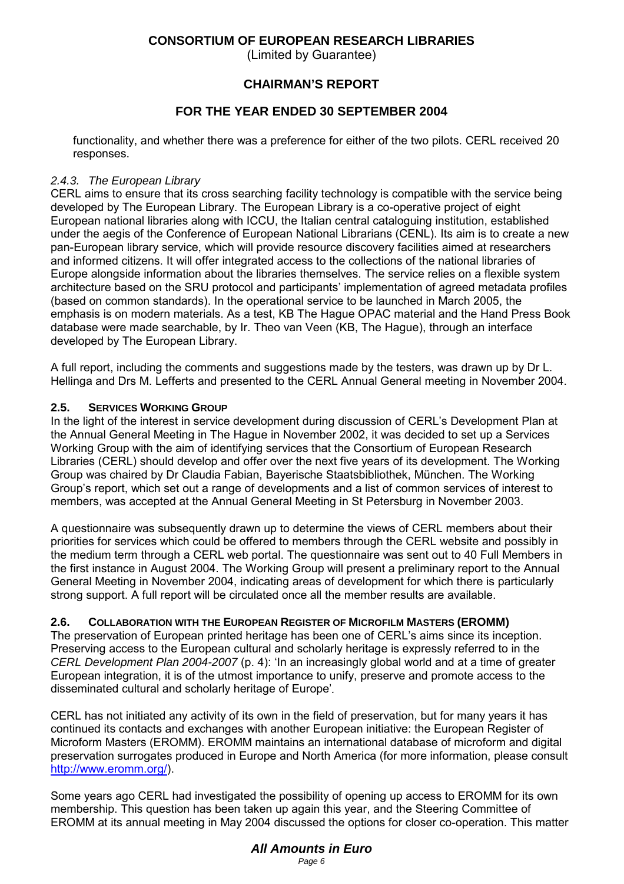(Limited by Guarantee)

## **CHAIRMAN'S REPORT**

## **FOR THE YEAR ENDED 30 SEPTEMBER 2004**

functionality, and whether there was a preference for either of the two pilots. CERL received 20 responses.

#### *2.4.3. The European Library*

CERL aims to ensure that its cross searching facility technology is compatible with the service being developed by The European Library. The European Library is a co-operative project of eight European national libraries along with ICCU, the Italian central cataloguing institution, established under the aegis of the Conference of European National Librarians (CENL). Its aim is to create a new pan-European library service, which will provide resource discovery facilities aimed at researchers and informed citizens. It will offer integrated access to the collections of the national libraries of Europe alongside information about the libraries themselves. The service relies on a flexible system architecture based on the SRU protocol and participants' implementation of agreed metadata profiles (based on common standards). In the operational service to be launched in March 2005, the emphasis is on modern materials. As a test, KB The Hague OPAC material and the Hand Press Book database were made searchable, by Ir. Theo van Veen (KB, The Hague), through an interface developed by The European Library.

A full report, including the comments and suggestions made by the testers, was drawn up by Dr L. Hellinga and Drs M. Lefferts and presented to the CERL Annual General meeting in November 2004.

#### **2.5. SERVICES WORKING GROUP**

In the light of the interest in service development during discussion of CERL's Development Plan at the Annual General Meeting in The Hague in November 2002, it was decided to set up a Services Working Group with the aim of identifying services that the Consortium of European Research Libraries (CERL) should develop and offer over the next five years of its development. The Working Group was chaired by Dr Claudia Fabian, Bayerische Staatsbibliothek, München. The Working Group's report, which set out a range of developments and a list of common services of interest to members, was accepted at the Annual General Meeting in St Petersburg in November 2003.

A questionnaire was subsequently drawn up to determine the views of CERL members about their priorities for services which could be offered to members through the CERL website and possibly in the medium term through a CERL web portal. The questionnaire was sent out to 40 Full Members in the first instance in August 2004. The Working Group will present a preliminary report to the Annual General Meeting in November 2004, indicating areas of development for which there is particularly strong support. A full report will be circulated once all the member results are available.

#### **2.6. COLLABORATION WITH THE EUROPEAN REGISTER OF MICROFILM MASTERS (EROMM)**

The preservation of European printed heritage has been one of CERL's aims since its inception. Preserving access to the European cultural and scholarly heritage is expressly referred to in the *CERL Development Plan 2004-2007* (p. 4): 'In an increasingly global world and at a time of greater European integration, it is of the utmost importance to unify, preserve and promote access to the disseminated cultural and scholarly heritage of Europe'*.*

CERL has not initiated any activity of its own in the field of preservation, but for many years it has continued its contacts and exchanges with another European initiative: the European Register of Microform Masters (EROMM). EROMM maintains an international database of microform and digital preservation surrogates produced in Europe and North America (for more information, please consult http://www.eromm.org/).

Some years ago CERL had investigated the possibility of opening up access to EROMM for its own membership. This question has been taken up again this year, and the Steering Committee of EROMM at its annual meeting in May 2004 discussed the options for closer co-operation. This matter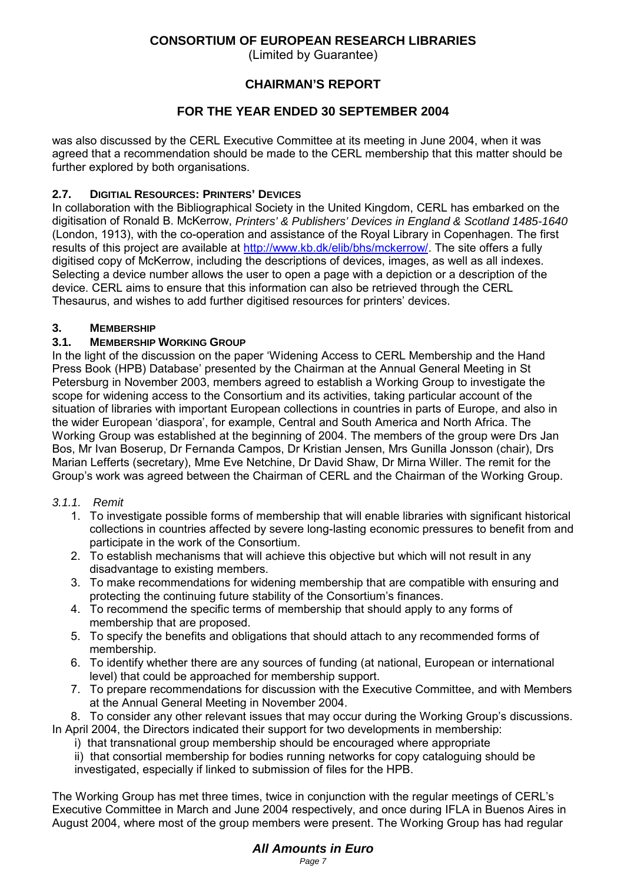(Limited by Guarantee)

## **CHAIRMAN'S REPORT**

## **FOR THE YEAR ENDED 30 SEPTEMBER 2004**

was also discussed by the CERL Executive Committee at its meeting in June 2004, when it was agreed that a recommendation should be made to the CERL membership that this matter should be further explored by both organisations.

## **2.7. DIGITIAL RESOURCES: PRINTERS' DEVICES**

In collaboration with the Bibliographical Society in the United Kingdom, CERL has embarked on the digitisation of Ronald B. McKerrow, *Printers' & Publishers' Devices in England & Scotland 1485-1640* (London, 1913), with the co-operation and assistance of the Royal Library in Copenhagen. The first results of this project are available at http://www.kb.dk/elib/bhs/mckerrow/. The site offers a fully digitised copy of McKerrow, including the descriptions of devices, images, as well as all indexes. Selecting a device number allows the user to open a page with a depiction or a description of the device. CERL aims to ensure that this information can also be retrieved through the CERL Thesaurus, and wishes to add further digitised resources for printers' devices.

## **3. MEMBERSHIP**

### **3.1. MEMBERSHIP WORKING GROUP**

In the light of the discussion on the paper 'Widening Access to CERL Membership and the Hand Press Book (HPB) Database' presented by the Chairman at the Annual General Meeting in St Petersburg in November 2003, members agreed to establish a Working Group to investigate the scope for widening access to the Consortium and its activities, taking particular account of the situation of libraries with important European collections in countries in parts of Europe, and also in the wider European 'diaspora', for example, Central and South America and North Africa. The Working Group was established at the beginning of 2004. The members of the group were Drs Jan Bos, Mr Ivan Boserup, Dr Fernanda Campos, Dr Kristian Jensen, Mrs Gunilla Jonsson (chair), Drs Marian Lefferts (secretary), Mme Eve Netchine, Dr David Shaw, Dr Mirna Willer. The remit for the Group's work was agreed between the Chairman of CERL and the Chairman of the Working Group.

#### *3.1.1. Remit*

- 1. To investigate possible forms of membership that will enable libraries with significant historical collections in countries affected by severe long-lasting economic pressures to benefit from and participate in the work of the Consortium.
- 2. To establish mechanisms that will achieve this objective but which will not result in any disadvantage to existing members.
- 3. To make recommendations for widening membership that are compatible with ensuring and protecting the continuing future stability of the Consortium's finances.
- 4. To recommend the specific terms of membership that should apply to any forms of membership that are proposed.
- 5. To specify the benefits and obligations that should attach to any recommended forms of membership.
- 6. To identify whether there are any sources of funding (at national, European or international level) that could be approached for membership support.
- 7. To prepare recommendations for discussion with the Executive Committee, and with Members at the Annual General Meeting in November 2004.

8. To consider any other relevant issues that may occur during the Working Group's discussions. In April 2004, the Directors indicated their support for two developments in membership:

i) that transnational group membership should be encouraged where appropriate

ii) that consortial membership for bodies running networks for copy cataloguing should be investigated, especially if linked to submission of files for the HPB.

The Working Group has met three times, twice in conjunction with the regular meetings of CERL's Executive Committee in March and June 2004 respectively, and once during IFLA in Buenos Aires in August 2004, where most of the group members were present. The Working Group has had regular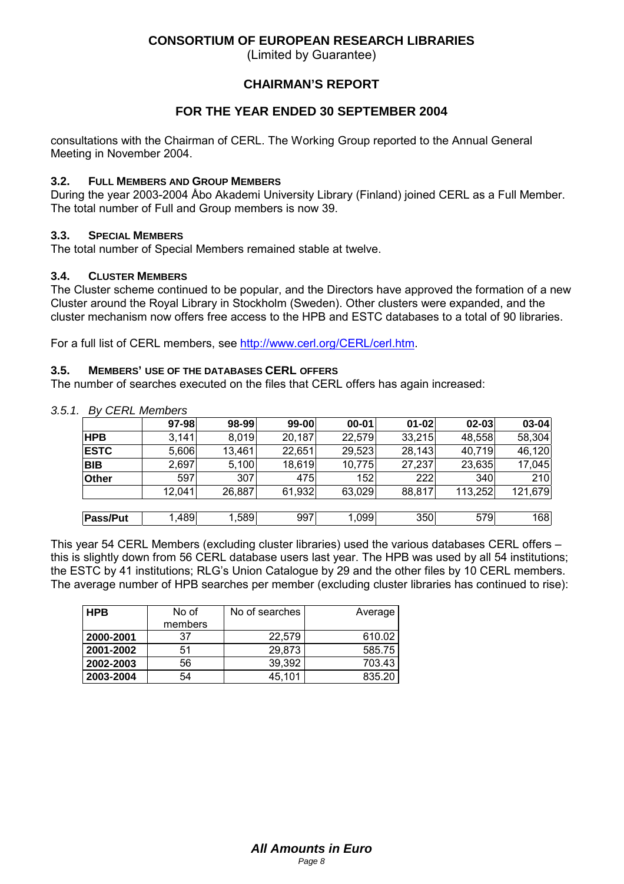(Limited by Guarantee)

### **CHAIRMAN'S REPORT**

## **FOR THE YEAR ENDED 30 SEPTEMBER 2004**

consultations with the Chairman of CERL. The Working Group reported to the Annual General Meeting in November 2004.

#### **3.2. FULL MEMBERS AND GROUP MEMBERS**

During the year 2003-2004 Åbo Akademi University Library (Finland) joined CERL as a Full Member. The total number of Full and Group members is now 39.

#### **3.3. SPECIAL MEMBERS**

The total number of Special Members remained stable at twelve.

#### **3.4. CLUSTER MEMBERS**

The Cluster scheme continued to be popular, and the Directors have approved the formation of a new Cluster around the Royal Library in Stockholm (Sweden). Other clusters were expanded, and the cluster mechanism now offers free access to the HPB and ESTC databases to a total of 90 libraries.

For a full list of CERL members, see http://www.cerl.org/CERL/cerl.htm.

#### **3.5. MEMBERS' USE OF THE DATABASES CERL OFFERS**

The number of searches executed on the files that CERL offers has again increased:

|                 | 97-98  | 98-99  | 99-00  | $00 - 01$ | $01 - 02$ | $02 - 03$ | $03 - 04$ |
|-----------------|--------|--------|--------|-----------|-----------|-----------|-----------|
| <b>HPB</b>      | 3,141  | 8,019  | 20,187 | 22,579    | 33,215    | 48,558    | 58,304    |
| <b>ESTC</b>     | 5,606  | 13,461 | 22,651 | 29,523    | 28,143    | 40,719    | 46,120    |
| <b>BIB</b>      | 2,697  | 5,100  | 18,619 | 10,775    | 27,237    | 23,635    | 17,045    |
| <b>Other</b>    | 597    | 307    | 475    | 152       | 222       | 340       | 210       |
|                 | 12,041 | 26,887 | 61,932 | 63,029    | 88,817    | 113,252   | 121,679   |
|                 |        |        |        |           |           |           |           |
| <b>Pass/Put</b> | 1,489  | 1,589  | 997    | 1,099     | 350       | 579       | 168       |

*3.5.1. By CERL Members*

This year 54 CERL Members (excluding cluster libraries) used the various databases CERL offers – this is slightly down from 56 CERL database users last year. The HPB was used by all 54 institutions; the ESTC by 41 institutions; RLG's Union Catalogue by 29 and the other files by 10 CERL members. The average number of HPB searches per member (excluding cluster libraries has continued to rise):

| l HPB     | No of<br>members | No of searches | Average |
|-----------|------------------|----------------|---------|
| 2000-2001 | 37               | 22.579         | 610.02  |
| 2001-2002 | 51               | 29,873         | 585.75  |
| 2002-2003 | 56               | 39.392         | 703.43  |
| 2003-2004 | 54               | 45,101         | 835.20  |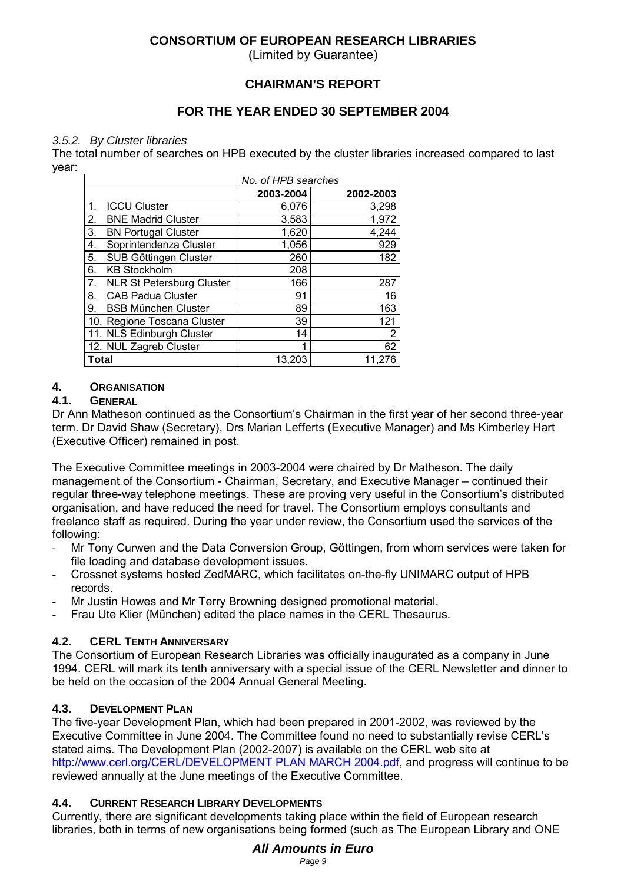(Limited by Guarantee)

## **CHAIRMAN'S REPORT**

## **FOR THE YEAR ENDED 30 SEPTEMBER 2004**

#### *3.5.2. By Cluster libraries*

The total number of searches on HPB executed by the cluster libraries increased compared to last year:

|       | No. of HPB searches              |           |           |  |
|-------|----------------------------------|-----------|-----------|--|
|       |                                  | 2003-2004 | 2002-2003 |  |
| 1.    | <b>ICCU Cluster</b>              | 6,076     | 3,298     |  |
| 2.    | <b>BNE Madrid Cluster</b>        | 3,583     | 1,972     |  |
| 3.    | <b>BN Portugal Cluster</b>       | 1,620     | 4,244     |  |
| 4.    | Soprintendenza Cluster           | 1,056     | 929       |  |
| 5.    | SUB Göttingen Cluster            | 260       | 182       |  |
| 6.    | <b>KB Stockholm</b>              | 208       |           |  |
| 7.    | <b>NLR St Petersburg Cluster</b> | 166       | 287       |  |
| 8.    | <b>CAB Padua Cluster</b>         | 91        | 16        |  |
| 9.    | <b>BSB München Cluster</b>       | 89        | 163       |  |
|       | 10. Regione Toscana Cluster      | 39        | 121       |  |
|       | 11. NLS Edinburgh Cluster        | 14        | 2         |  |
|       | 12. NUL Zagreb Cluster           | 1         | 62        |  |
| Total |                                  | 13.203    | 11,276    |  |

#### **4. ORGANISATION**

#### **4.1. GENERAL**

Dr Ann Matheson continued as the Consortium's Chairman in the first year of her second three-year term. Dr David Shaw (Secretary), Drs Marian Lefferts (Executive Manager) and Ms Kimberley Hart (Executive Officer) remained in post.

The Executive Committee meetings in 2003-2004 were chaired by Dr Matheson. The daily management of the Consortium - Chairman, Secretary, and Executive Manager – continued their regular three-way telephone meetings. These are proving very useful in the Consortium's distributed organisation, and have reduced the need for travel. The Consortium employs consultants and freelance staff as required. During the year under review, the Consortium used the services of the following:

- Mr Tony Curwen and the Data Conversion Group, Göttingen, from whom services were taken for file loading and database development issues.
- Crossnet systems hosted ZedMARC, which facilitates on-the-fly UNIMARC output of HPB records.
- Mr Justin Howes and Mr Terry Browning designed promotional material.
- Frau Ute Klier (München) edited the place names in the CERL Thesaurus.

## **4.2. CERL TENTH ANNIVERSARY**

The Consortium of European Research Libraries was officially inaugurated as a company in June 1994. CERL will mark its tenth anniversary with a special issue of the CERL Newsletter and dinner to be held on the occasion of the 2004 Annual General Meeting.

## **4.3. DEVELOPMENT PLAN**

The five-year Development Plan, which had been prepared in 2001-2002, was reviewed by the Executive Committee in June 2004. The Committee found no need to substantially revise CERL's stated aims. The Development Plan (2002-2007) is available on the CERL web site at http://www.cerl.org/CERL/DEVELOPMENT PLAN MARCH 2004.pdf, and progress will continue to be reviewed annually at the June meetings of the Executive Committee.

## **4.4. CURRENT RESEARCH LIBRARY DEVELOPMENTS**

Currently, there are significant developments taking place within the field of European research libraries, both in terms of new organisations being formed (such as The European Library and ONE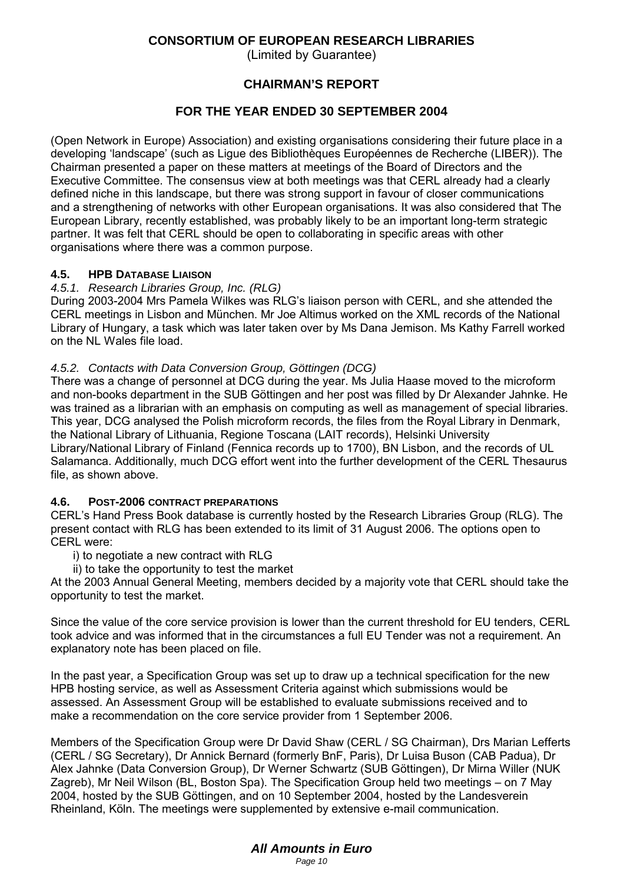(Limited by Guarantee)

## **CHAIRMAN'S REPORT**

## **FOR THE YEAR ENDED 30 SEPTEMBER 2004**

(Open Network in Europe) Association) and existing organisations considering their future place in a developing 'landscape' (such as Ligue des Bibliothèques Européennes de Recherche (LIBER)). The Chairman presented a paper on these matters at meetings of the Board of Directors and the Executive Committee. The consensus view at both meetings was that CERL already had a clearly defined niche in this landscape, but there was strong support in favour of closer communications and a strengthening of networks with other European organisations. It was also considered that The European Library, recently established, was probably likely to be an important long-term strategic partner. It was felt that CERL should be open to collaborating in specific areas with other organisations where there was a common purpose.

#### **4.5. HPB DATABASE LIAISON**

#### *4.5.1. Research Libraries Group, Inc. (RLG)*

During 2003-2004 Mrs Pamela Wilkes was RLG's liaison person with CERL, and she attended the CERL meetings in Lisbon and München. Mr Joe Altimus worked on the XML records of the National Library of Hungary, a task which was later taken over by Ms Dana Jemison. Ms Kathy Farrell worked on the NL Wales file load.

#### *4.5.2. Contacts with Data Conversion Group, Göttingen (DCG)*

There was a change of personnel at DCG during the year. Ms Julia Haase moved to the microform and non-books department in the SUB Göttingen and her post was filled by Dr Alexander Jahnke. He was trained as a librarian with an emphasis on computing as well as management of special libraries. This year, DCG analysed the Polish microform records, the files from the Royal Library in Denmark, the National Library of Lithuania, Regione Toscana (LAIT records), Helsinki University Library/National Library of Finland (Fennica records up to 1700), BN Lisbon, and the records of UL Salamanca. Additionally, much DCG effort went into the further development of the CERL Thesaurus file, as shown above.

#### **4.6. POST-2006 CONTRACT PREPARATIONS**

CERL's Hand Press Book database is currently hosted by the Research Libraries Group (RLG). The present contact with RLG has been extended to its limit of 31 August 2006. The options open to CERL were:

i) to negotiate a new contract with RLG

ii) to take the opportunity to test the market

At the 2003 Annual General Meeting, members decided by a majority vote that CERL should take the opportunity to test the market.

Since the value of the core service provision is lower than the current threshold for EU tenders, CERL took advice and was informed that in the circumstances a full EU Tender was not a requirement. An explanatory note has been placed on file.

In the past year, a Specification Group was set up to draw up a technical specification for the new HPB hosting service, as well as Assessment Criteria against which submissions would be assessed. An Assessment Group will be established to evaluate submissions received and to make a recommendation on the core service provider from 1 September 2006.

Members of the Specification Group were Dr David Shaw (CERL / SG Chairman), Drs Marian Lefferts (CERL / SG Secretary), Dr Annick Bernard (formerly BnF, Paris), Dr Luisa Buson (CAB Padua), Dr Alex Jahnke (Data Conversion Group), Dr Werner Schwartz (SUB Göttingen), Dr Mirna Willer (NUK Zagreb), Mr Neil Wilson (BL, Boston Spa). The Specification Group held two meetings – on 7 May 2004, hosted by the SUB Göttingen, and on 10 September 2004, hosted by the Landesverein Rheinland, Köln. The meetings were supplemented by extensive e-mail communication.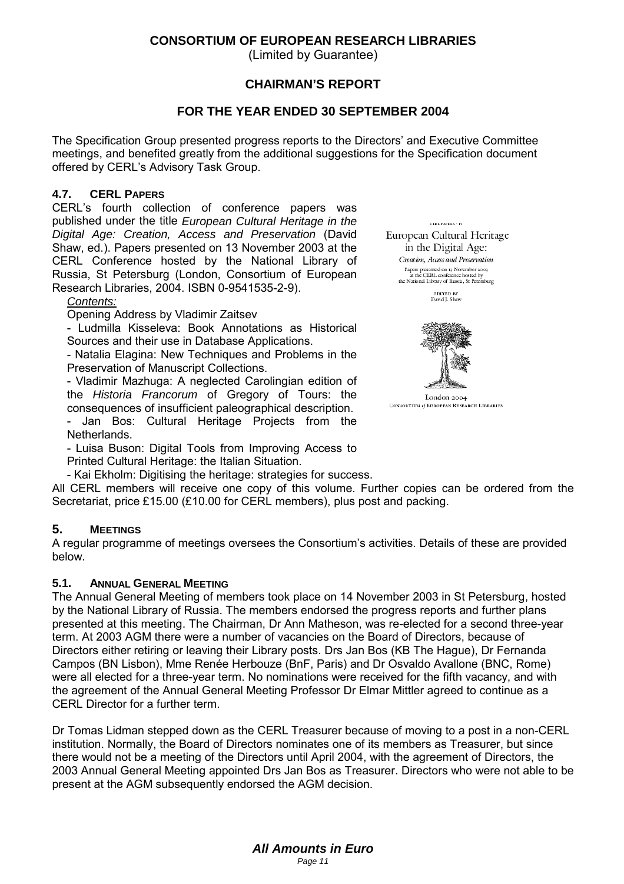(Limited by Guarantee)

## **CHAIRMAN'S REPORT**

## **FOR THE YEAR ENDED 30 SEPTEMBER 2004**

The Specification Group presented progress reports to the Directors' and Executive Committee meetings, and benefited greatly from the additional suggestions for the Specification document offered by CERL's Advisory Task Group.

#### **4.7. CERL PAPERS**

CERL's fourth collection of conference papers was published under the title *European Cultural Heritage in the Digital Age: Creation, Access and Preservation* (David Shaw, ed.). Papers presented on 13 November 2003 at the CERL Conference hosted by the National Library of Russia, St Petersburg (London, Consortium of European Research Libraries, 2004. ISBN 0-9541535-2-9).

#### *Contents:*

Opening Address by Vladimir Zaitsev

- Ludmilla Kisseleva: Book Annotations as Historical Sources and their use in Database Applications.

- Natalia Elagina: New Techniques and Problems in the Preservation of Manuscript Collections.

- Vladimir Mazhuga: A neglected Carolingian edition of the *Historia Francorum* of Gregory of Tours: the consequences of insufficient paleographical description.

- Jan Bos: Cultural Heritage Projects from the **Netherlands** 

- Luisa Buson: Digital Tools from Improving Access to Printed Cultural Heritage: the Italian Situation.

- Kai Ekholm: Digitising the heritage: strategies for success.

All CERL members will receive one copy of this volume. Further copies can be ordered from the Secretariat, price £15.00 (£10.00 for CERL members), plus post and packing.

#### **5. MEETINGS**

A regular programme of meetings oversees the Consortium's activities. Details of these are provided below.

#### **5.1. ANNUAL GENERAL MEETING**

The Annual General Meeting of members took place on 14 November 2003 in St Petersburg, hosted by the National Library of Russia. The members endorsed the progress reports and further plans presented at this meeting. The Chairman, Dr Ann Matheson, was re-elected for a second three-year term. At 2003 AGM there were a number of vacancies on the Board of Directors, because of Directors either retiring or leaving their Library posts. Drs Jan Bos (KB The Hague), Dr Fernanda Campos (BN Lisbon), Mme Renée Herbouze (BnF, Paris) and Dr Osvaldo Avallone (BNC, Rome) were all elected for a three-year term. No nominations were received for the fifth vacancy, and with the agreement of the Annual General Meeting Professor Dr Elmar Mittler agreed to continue as a CERL Director for a further term.

Dr Tomas Lidman stepped down as the CERL Treasurer because of moving to a post in a non-CERL institution. Normally, the Board of Directors nominates one of its members as Treasurer, but since there would not be a meeting of the Directors until April 2004, with the agreement of Directors, the 2003 Annual General Meeting appointed Drs Jan Bos as Treasurer. Directors who were not able to be present at the AGM subsequently endorsed the AGM decision.

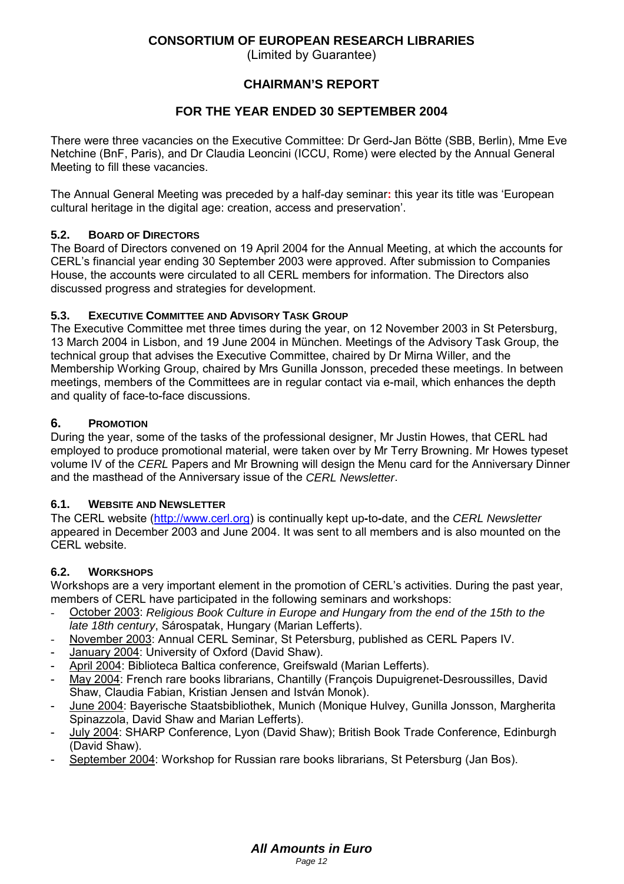(Limited by Guarantee)

## **CHAIRMAN'S REPORT**

## **FOR THE YEAR ENDED 30 SEPTEMBER 2004**

There were three vacancies on the Executive Committee: Dr Gerd-Jan Bötte (SBB, Berlin), Mme Eve Netchine (BnF, Paris), and Dr Claudia Leoncini (ICCU, Rome) were elected by the Annual General Meeting to fill these vacancies.

The Annual General Meeting was preceded by a half-day seminar**:** this year its title was 'European cultural heritage in the digital age: creation, access and preservation'.

### **5.2. BOARD OF DIRECTORS**

The Board of Directors convened on 19 April 2004 for the Annual Meeting, at which the accounts for CERL's financial year ending 30 September 2003 were approved. After submission to Companies House, the accounts were circulated to all CERL members for information. The Directors also discussed progress and strategies for development.

### **5.3. EXECUTIVE COMMITTEE AND ADVISORY TASK GROUP**

The Executive Committee met three times during the year, on 12 November 2003 in St Petersburg, 13 March 2004 in Lisbon, and 19 June 2004 in München. Meetings of the Advisory Task Group, the technical group that advises the Executive Committee, chaired by Dr Mirna Willer, and the Membership Working Group, chaired by Mrs Gunilla Jonsson, preceded these meetings. In between meetings, members of the Committees are in regular contact via e-mail, which enhances the depth and quality of face-to-face discussions.

### **6. PROMOTION**

During the year, some of the tasks of the professional designer, Mr Justin Howes, that CERL had employed to produce promotional material, were taken over by Mr Terry Browning. Mr Howes typeset volume IV of the *CERL* Papers and Mr Browning will design the Menu card for the Anniversary Dinner and the masthead of the Anniversary issue of the *CERL Newsletter*.

#### **6.1. WEBSITE AND NEWSLETTER**

The CERL website (http://www.cerl.org) is continually kept up**-**to**-**date, and the *CERL Newsletter* appeared in December 2003 and June 2004. It was sent to all members and is also mounted on the CERL website.

#### **6.2. WORKSHOPS**

Workshops are a very important element in the promotion of CERL's activities. During the past year, members of CERL have participated in the following seminars and workshops:

- October 2003: *Religious Book Culture in Europe and Hungary from the end of the 15th to the late 18th century*, Sárospatak, Hungary (Marian Lefferts).
- November 2003: Annual CERL Seminar, St Petersburg, published as CERL Papers IV.
- January 2004: University of Oxford (David Shaw).
- April 2004: Biblioteca Baltica conference, Greifswald (Marian Lefferts).
- May 2004: French rare books librarians, Chantilly (François Dupuigrenet-Desroussilles, David Shaw, Claudia Fabian, Kristian Jensen and István Monok).
- June 2004: Bayerische Staatsbibliothek, Munich (Monique Hulvey, Gunilla Jonsson, Margherita Spinazzola, David Shaw and Marian Lefferts).
- July 2004: SHARP Conference, Lyon (David Shaw); British Book Trade Conference, Edinburgh (David Shaw).
- September 2004: Workshop for Russian rare books librarians, St Petersburg (Jan Bos).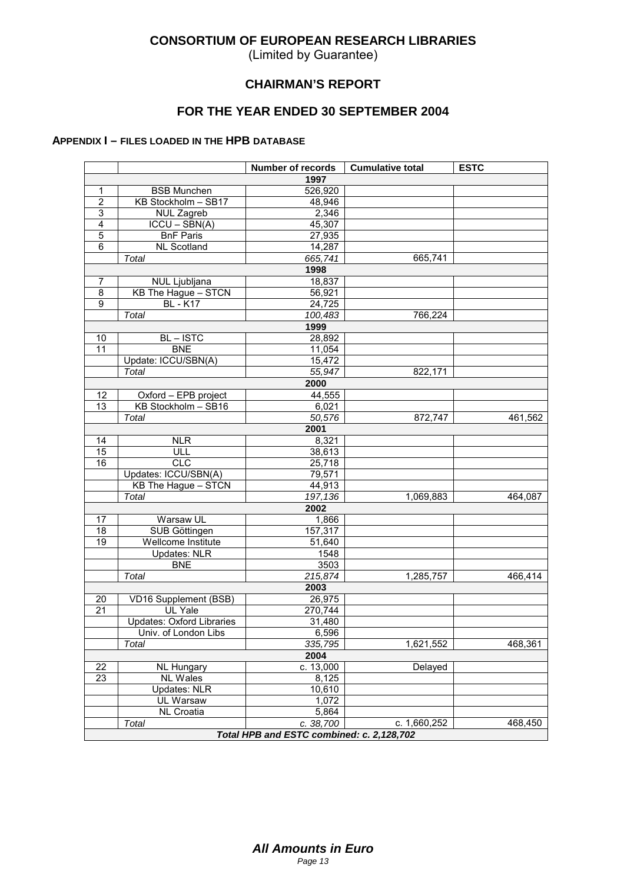(Limited by Guarantee)

### **CHAIRMAN'S REPORT**

## **FOR THE YEAR ENDED 30 SEPTEMBER 2004**

#### **APPENDIX I – FILES LOADED IN THE HPB DATABASE**

|                 |                                  | <b>Number of records</b>                  | <b>Cumulative total</b> | <b>ESTC</b> |
|-----------------|----------------------------------|-------------------------------------------|-------------------------|-------------|
|                 |                                  | 1997                                      |                         |             |
| 1               | <b>BSB Munchen</b>               | 526,920                                   |                         |             |
| $\overline{2}$  | KB Stockholm - SB17              | 48,946                                    |                         |             |
| 3               | <b>NUL Zagreb</b>                | 2,346                                     |                         |             |
| 4               | $ICCU - SBN(A)$                  | 45,307                                    |                         |             |
| 5               | <b>BnF Paris</b>                 | 27,935                                    |                         |             |
| $\overline{6}$  | <b>NL Scotland</b>               | 14,287                                    |                         |             |
|                 | Total                            | 665,741                                   | 665,741                 |             |
|                 |                                  | 1998                                      |                         |             |
| 7               | NUL Ljubljana                    | 18,837                                    |                         |             |
| 8               | KB The Hague - STCN              | 56,921                                    |                         |             |
| $\overline{9}$  | <b>BL</b> - K17                  | 24,725                                    |                         |             |
|                 | Total                            | 100,483                                   | 766,224                 |             |
|                 |                                  | 1999                                      |                         |             |
| 10              | BL-ISTC                          | 28,892                                    |                         |             |
| 11              | <b>BNE</b>                       | 11,054                                    |                         |             |
|                 | Update: ICCU/SBN(A)              | 15,472                                    |                         |             |
|                 | Total                            | 55,947                                    | 822,171                 |             |
|                 |                                  | 2000                                      |                         |             |
| 12              | Oxford - EPB project             | 44,555                                    |                         |             |
| $\overline{13}$ | KB Stockholm - SB16              | 6,021                                     |                         |             |
|                 | Total                            | 50,576                                    | 872,747                 | 461,562     |
|                 |                                  | 2001                                      |                         |             |
| 14              | NLR                              | 8,321                                     |                         |             |
| 15              | ULL                              | 38,613                                    |                         |             |
| 16              | <b>CLC</b>                       | 25,718                                    |                         |             |
|                 | Updates: ICCU/SBN(A)             | 79,571                                    |                         |             |
|                 | KB The Hague - STCN              | 44,913                                    |                         |             |
|                 | Total                            | 197,136                                   | 1,069,883               | 464,087     |
|                 |                                  | 2002                                      |                         |             |
| 17              | Warsaw UL                        | 1,866                                     |                         |             |
| 18              | SUB Göttingen                    | 157,317                                   |                         |             |
| $\overline{19}$ | Wellcome Institute               | 51,640                                    |                         |             |
|                 | <b>Updates: NLR</b>              | 1548                                      |                         |             |
|                 | <b>BNE</b>                       | 3503                                      |                         |             |
|                 | Total                            | 215,874                                   | 1,285,757               | 466,414     |
|                 |                                  | 2003                                      |                         |             |
| 20              | <b>VD16 Supplement (BSB)</b>     | 26,975                                    |                         |             |
| $\overline{21}$ | <b>UL Yale</b>                   | 270,744                                   |                         |             |
|                 | <b>Updates: Oxford Libraries</b> | 31,480                                    |                         |             |
|                 | Univ. of London Libs             | 6,596                                     |                         |             |
|                 | Total                            | 335,795                                   | 1,621,552               | 468,361     |
|                 |                                  | 2004                                      |                         |             |
| 22              | <b>NL Hungary</b>                | c. 13,000                                 | Delayed                 |             |
| 23              | <b>NL Wales</b>                  | 8,125                                     |                         |             |
|                 | <b>Updates: NLR</b>              | 10,610                                    |                         |             |
|                 | UL Warsaw                        | 1,072                                     |                         |             |
|                 | NL Croatia                       | 5,864                                     |                         |             |
|                 | Total                            | c. 38,700                                 | c. 1,660,252            | 468,450     |
|                 |                                  | Total HPB and ESTC combined: c. 2,128,702 |                         |             |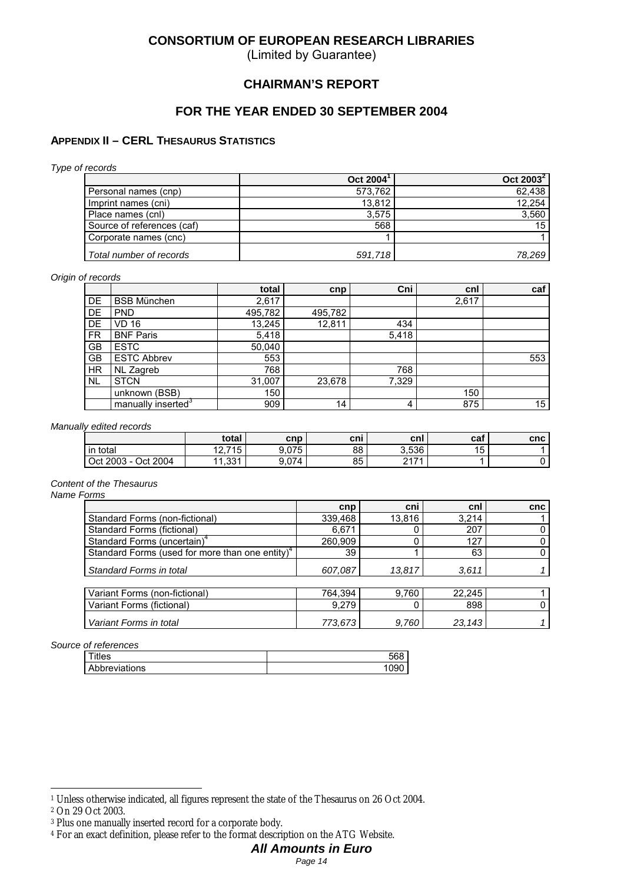(Limited by Guarantee)

#### **CHAIRMAN'S REPORT**

#### **FOR THE YEAR ENDED 30 SEPTEMBER 2004**

#### **APPENDIX II – CERL THESAURUS STATISTICS**

*Type of records*

|                            | Oct $2004$ <sup>1</sup> | Oct $2003^2$    |
|----------------------------|-------------------------|-----------------|
| Personal names (cnp)       | 573.762                 | 62,438          |
| Imprint names (cni)        | 13.812                  | 12.254          |
| Place names (cnl)          | 3.575                   | 3,560           |
| Source of references (caf) | 568                     | 15 <sup>1</sup> |
| Corporate names (cnc)      |                         |                 |
| Total number of records    | 591,718                 | 78,269          |

#### *Origin of records*

|           |                                | total   | cnp     | Cni            | cnl   | caf             |
|-----------|--------------------------------|---------|---------|----------------|-------|-----------------|
| DE        | <b>BSB München</b>             | 2,617   |         |                | 2,617 |                 |
| DE        | <b>PND</b>                     | 495,782 | 495,782 |                |       |                 |
| DE        | VD 16                          | 13,245  | 12,811  | 434            |       |                 |
| <b>FR</b> | <b>BNF Paris</b>               | 5,418   |         | 5,418          |       |                 |
| <b>GB</b> | <b>ESTC</b>                    | 50,040  |         |                |       |                 |
| GB        | <b>ESTC Abbrev</b>             | 553     |         |                |       | 553             |
| <b>HR</b> | NL Zagreb                      | 768     |         | 768            |       |                 |
| <b>NL</b> | <b>STCN</b>                    | 31,007  | 23,678  | 7,329          |       |                 |
|           | unknown (BSB)                  | 150     |         |                | 150   |                 |
|           | manually inserted <sup>3</sup> | 909     | 14      | $\overline{4}$ | 875   | 15 <sub>1</sub> |

*Manually edited records*

|                                | total           | cnp   | cni | cnl   | caf     | cnc |
|--------------------------------|-----------------|-------|-----|-------|---------|-----|
| total<br>l in                  | 12.715          | 9.075 | 88  | 3.536 | 15<br>◡ |     |
| Oct 2004<br>$\cdot$ Oct 2003 - | 331<br>. . JJ I | 9.074 | 85  | 0474  |         |     |

*Content of the Thesaurus*

*Name Forms*

|                                                             | cnp     | cni    | cnl    | cnc |
|-------------------------------------------------------------|---------|--------|--------|-----|
| Standard Forms (non-fictional)                              | 339,468 | 13,816 | 3.214  |     |
| Standard Forms (fictional)                                  | 6,671   |        | 207    | Ü   |
| Standard Forms (uncertain) <sup>4</sup>                     | 260,909 |        | 127    | 0   |
| Standard Forms (used for more than one entity) <sup>4</sup> | 39      |        | 63     | 0   |
| Standard Forms in total                                     | 607,087 | 13,817 | 3,611  |     |
|                                                             |         |        |        |     |
| Variant Forms (non-fictional)                               | 764.394 | 9,760  | 22.245 |     |
| Variant Forms (fictional)                                   | 9.279   |        | 898    | 0   |
| Variant Forms in total                                      | 773,673 | 9.760  | 23,143 |     |

*Source of references*

| riles .       |  |
|---------------|--|
| Abbreviations |  |

 $\overline{a}$ 

<sup>1</sup> Unless otherwise indicated, all figures represent the state of the Thesaurus on 26 Oct 2004.

<sup>2</sup> On 29 Oct 2003.

<sup>3</sup> Plus one manually inserted record for a corporate body.

<sup>4</sup> For an exact definition, please refer to the format description on the ATG Website.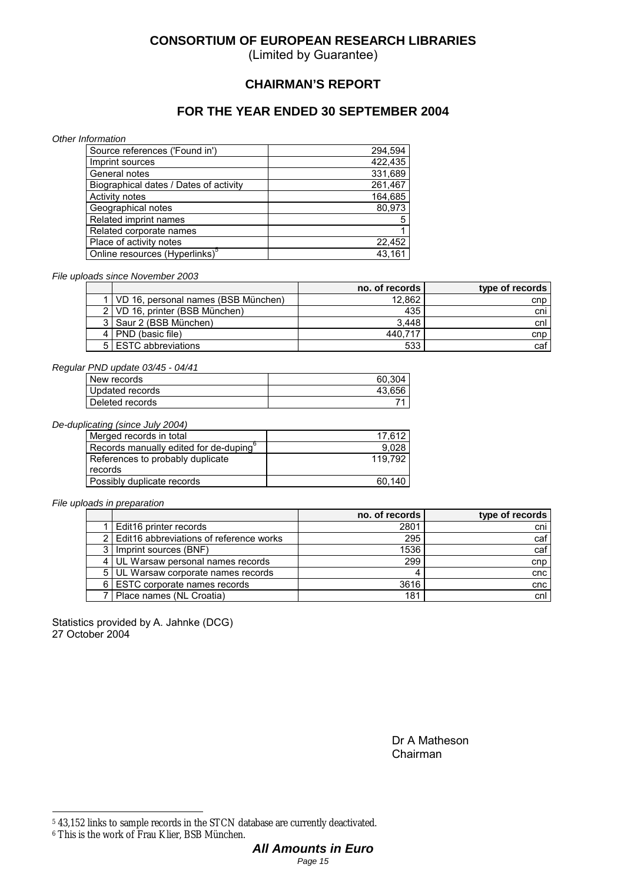(Limited by Guarantee)

### **CHAIRMAN'S REPORT**

## **FOR THE YEAR ENDED 30 SEPTEMBER 2004**

*Other Information*

| Source references ('Found in')             | 294.594 |
|--------------------------------------------|---------|
| Imprint sources                            | 422,435 |
| General notes                              | 331.689 |
| Biographical dates / Dates of activity     | 261,467 |
| Activity notes                             | 164.685 |
| Geographical notes                         | 80.973  |
| Related imprint names                      | 5       |
| Related corporate names                    |         |
| Place of activity notes                    | 22.452  |
| Online resources (Hyperlinks) <sup>5</sup> | 43.161  |

*File uploads since November 2003*

|                                         | no. of records | type of records |
|-----------------------------------------|----------------|-----------------|
| 1   VD 16, personal names (BSB München) | 12,862         | cnp             |
| 2   VD 16, printer (BSB München)        | 435            | cni             |
| 3 Saur 2 (BSB München)                  | 3.448          | cnl             |
| 4   PND (basic file)                    | 440.717        | cnp             |
| 5 ESTC abbreviations                    | 533            | caf             |

#### *Regular PND update 03/45 - 04/41*

| New records     | 60.304 |
|-----------------|--------|
| Updated records | 43.656 |
| Deleted records |        |

*De-duplicating (since July 2004)*

| Merged records in total                            | 17.612  |
|----------------------------------------------------|---------|
| Records manually edited for de-duping <sup>o</sup> | 9.028   |
| References to probably duplicate                   | 119.792 |
| records                                            |         |
| Possibly duplicate records                         | 60.140  |

*File uploads in preparation*

|                                           | no. of records | type of records |
|-------------------------------------------|----------------|-----------------|
| Edit16 printer records                    | 2801           | cni             |
| 2 Edit16 abbreviations of reference works | 295            | caf             |
| Imprint sources (BNF)                     | 1536           | caf             |
| UL Warsaw personal names records          | 299            | cnp             |
| 5 UL Warsaw corporate names records       |                | cnc             |
| 6   ESTC corporate names records          | 3616           | cnc             |
| Place names (NL Croatia)                  | 181            | cnl             |

Statistics provided by A. Jahnke (DCG) 27 October 2004

> Dr A Matheson Chairman

 $\overline{a}$ 

<sup>5 43,152</sup> links to sample records in the STCN database are currently deactivated.

<sup>6</sup> This is the work of Frau Klier, BSB München.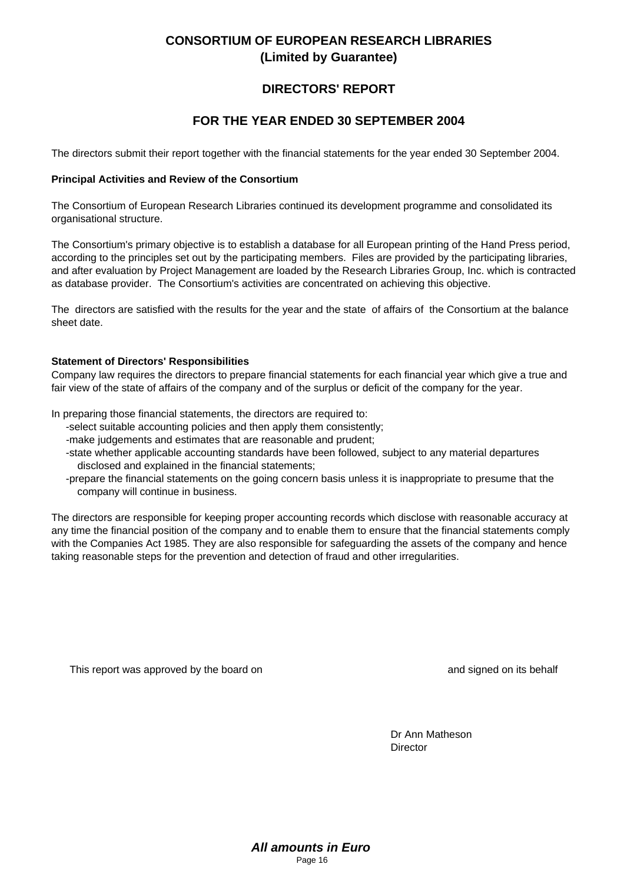# **DIRECTORS' REPORT**

# **FOR THE YEAR ENDED 30 SEPTEMBER 2004**

The directors submit their report together with the financial statements for the year ended 30 September 2004.

#### **Principal Activities and Review of the Consortium**

The Consortium of European Research Libraries continued its development programme and consolidated its organisational structure.

The Consortium's primary objective is to establish a database for all European printing of the Hand Press period, according to the principles set out by the participating members. Files are provided by the participating libraries, and after evaluation by Project Management are loaded by the Research Libraries Group, Inc. which is contracted as database provider. The Consortium's activities are concentrated on achieving this objective.

The directors are satisfied with the results for the year and the state of affairs of the Consortium at the balance sheet date.

#### **Statement of Directors' Responsibilities**

Company law requires the directors to prepare financial statements for each financial year which give a true and fair view of the state of affairs of the company and of the surplus or deficit of the company for the year.

In preparing those financial statements, the directors are required to:

- -select suitable accounting policies and then apply them consistently;
- -make judgements and estimates that are reasonable and prudent;
- -state whether applicable accounting standards have been followed, subject to any material departures disclosed and explained in the financial statements;
- -prepare the financial statements on the going concern basis unless it is inappropriate to presume that the company will continue in business.

The directors are responsible for keeping proper accounting records which disclose with reasonable accuracy at any time the financial position of the company and to enable them to ensure that the financial statements comply with the Companies Act 1985. They are also responsible for safeguarding the assets of the company and hence taking reasonable steps for the prevention and detection of fraud and other irregularities.

This report was approved by the board on and signed on and signed on its behalf

Dr Ann Matheson Director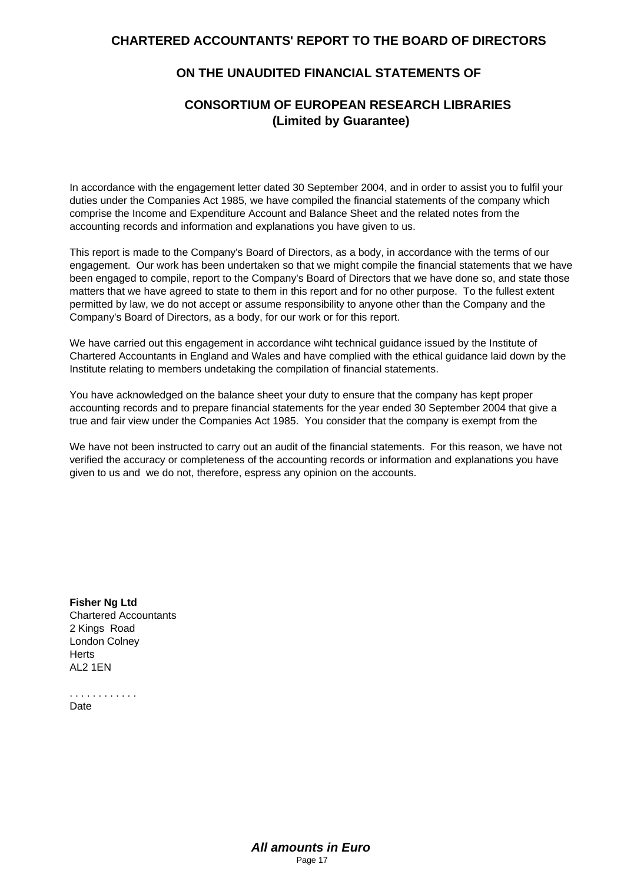## **CHARTERED ACCOUNTANTS' REPORT TO THE BOARD OF DIRECTORS**

### **ON THE UNAUDITED FINANCIAL STATEMENTS OF**

## **CONSORTIUM OF EUROPEAN RESEARCH LIBRARIES (Limited by Guarantee)**

In accordance with the engagement letter dated 30 September 2004, and in order to assist you to fulfil your duties under the Companies Act 1985, we have compiled the financial statements of the company which comprise the Income and Expenditure Account and Balance Sheet and the related notes from the accounting records and information and explanations you have given to us.

This report is made to the Company's Board of Directors, as a body, in accordance with the terms of our engagement. Our work has been undertaken so that we might compile the financial statements that we have been engaged to compile, report to the Company's Board of Directors that we have done so, and state those matters that we have agreed to state to them in this report and for no other purpose. To the fullest extent permitted by law, we do not accept or assume responsibility to anyone other than the Company and the Company's Board of Directors, as a body, for our work or for this report.

We have carried out this engagement in accordance wiht technical guidance issued by the Institute of Chartered Accountants in England and Wales and have complied with the ethical guidance laid down by the Institute relating to members undetaking the compilation of financial statements.

You have acknowledged on the balance sheet your duty to ensure that the company has kept proper accounting records and to prepare financial statements for the year ended 30 September 2004 that give a true and fair view under the Companies Act 1985. You consider that the company is exempt from the

We have not been instructed to carry out an audit of the financial statements. For this reason, we have not verified the accuracy or completeness of the accounting records or information and explanations you have given to us and we do not, therefore, espress any opinion on the accounts.

**Fisher Ng Ltd** Chartered Accountants 2 Kings Road London Colney **Herts** AL2 1EN

. . . . . . . . . . . . **Date**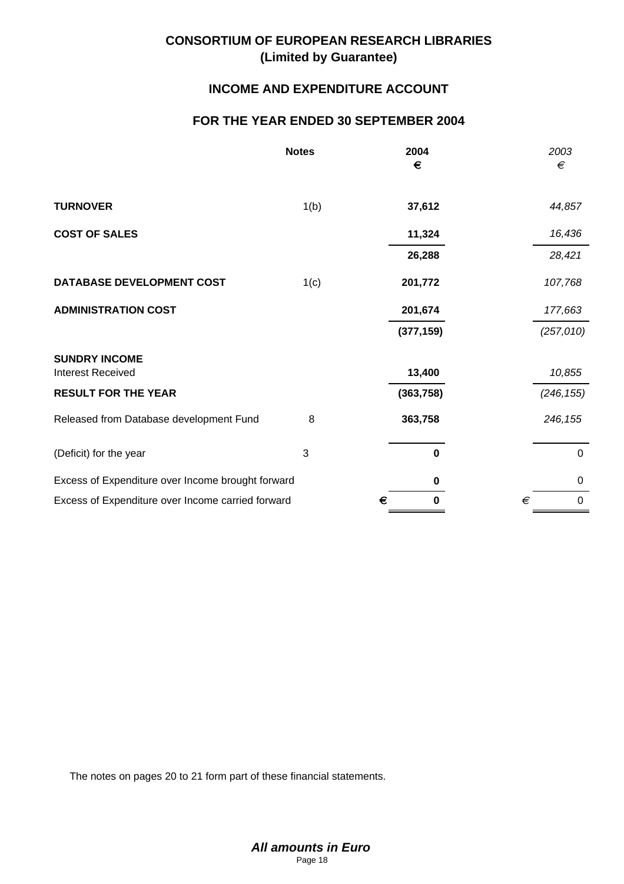## **INCOME AND EXPENDITURE ACCOUNT**

## **FOR THE YEAR ENDED 30 SEPTEMBER 2004**

|                                                   | <b>Notes</b> | 2004<br>€        | 2003<br>€        |
|---------------------------------------------------|--------------|------------------|------------------|
| <b>TURNOVER</b>                                   | 1(b)         | 37,612           | 44,857           |
| <b>COST OF SALES</b>                              |              | 11,324           | 16,436           |
|                                                   |              | 26,288           | 28,421           |
| <b>DATABASE DEVELOPMENT COST</b>                  | 1(c)         | 201,772          | 107,768          |
| <b>ADMINISTRATION COST</b>                        |              | 201,674          | 177,663          |
|                                                   |              | (377, 159)       | (257, 010)       |
| <b>SUNDRY INCOME</b><br><b>Interest Received</b>  |              | 13,400           | 10,855           |
| <b>RESULT FOR THE YEAR</b>                        |              | (363, 758)       | (246, 155)       |
| Released from Database development Fund           | 8            | 363,758          | 246, 155         |
| (Deficit) for the year                            | 3            | $\mathbf 0$      | $\pmb{0}$        |
| Excess of Expenditure over Income brought forward |              | $\mathbf 0$      | $\mathbf 0$      |
| Excess of Expenditure over Income carried forward |              | $\mathbf 0$<br>€ | €<br>$\mathbf 0$ |

The notes on pages 20 to 21 form part of these financial statements.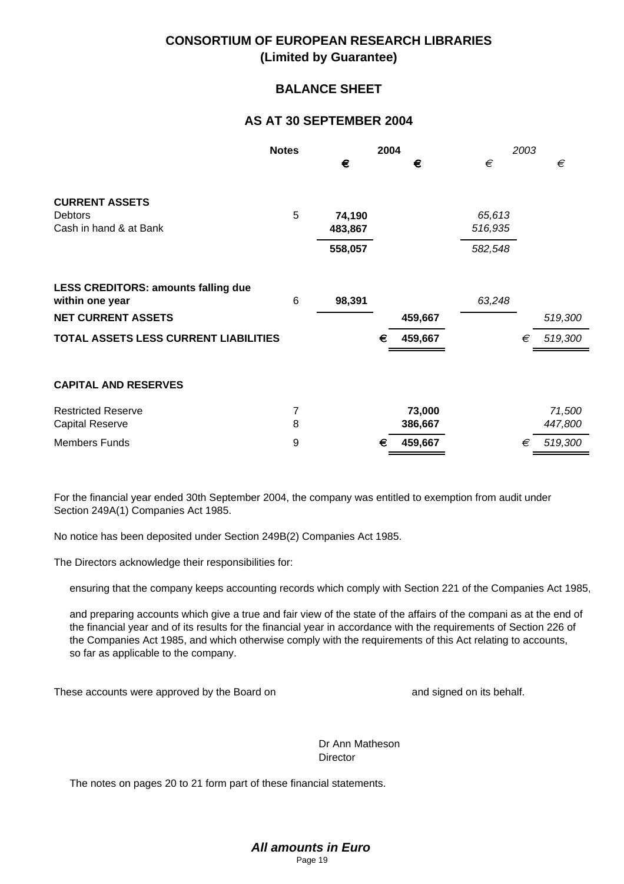## **BALANCE SHEET**

## **AS AT 30 SEPTEMBER 2004**

|                                              | <b>Notes</b> | 2004              |   | 2003    |                   |   |         |
|----------------------------------------------|--------------|-------------------|---|---------|-------------------|---|---------|
|                                              |              | €                 |   | €       | €                 |   | €       |
| <b>CURRENT ASSETS</b>                        | 5            |                   |   |         |                   |   |         |
| Debtors<br>Cash in hand & at Bank            |              | 74,190<br>483,867 |   |         | 65,613<br>516,935 |   |         |
|                                              |              | 558,057           |   |         | 582,548           |   |         |
| <b>LESS CREDITORS: amounts falling due</b>   | 6            | 98,391            |   |         |                   |   |         |
| within one year<br><b>NET CURRENT ASSETS</b> |              |                   |   | 459,667 | 63,248            |   | 519,300 |
| TOTAL ASSETS LESS CURRENT LIABILITIES        |              |                   | € | 459,667 |                   | € | 519,300 |
|                                              |              |                   |   |         |                   |   |         |
| <b>CAPITAL AND RESERVES</b>                  |              |                   |   |         |                   |   |         |
| <b>Restricted Reserve</b>                    | 7            |                   |   | 73,000  |                   |   | 71,500  |
| <b>Capital Reserve</b>                       | 8            |                   |   | 386,667 |                   |   | 447,800 |
| <b>Members Funds</b>                         | 9            |                   | € | 459,667 |                   | € | 519,300 |

For the financial year ended 30th September 2004, the company was entitled to exemption from audit under Section 249A(1) Companies Act 1985.

No notice has been deposited under Section 249B(2) Companies Act 1985.

The Directors acknowledge their responsibilities for:

ensuring that the company keeps accounting records which comply with Section 221 of the Companies Act 1985,

and preparing accounts which give a true and fair view of the state of the affairs of the compani as at the end of the financial year and of its results for the financial year in accordance with the requirements of Section 226 of the Companies Act 1985, and which otherwise comply with the requirements of this Act relating to accounts, so far as applicable to the company.

These accounts were approved by the Board on and signed on and signed on its behalf.

Dr Ann Matheson **Director** 

The notes on pages 20 to 21 form part of these financial statements.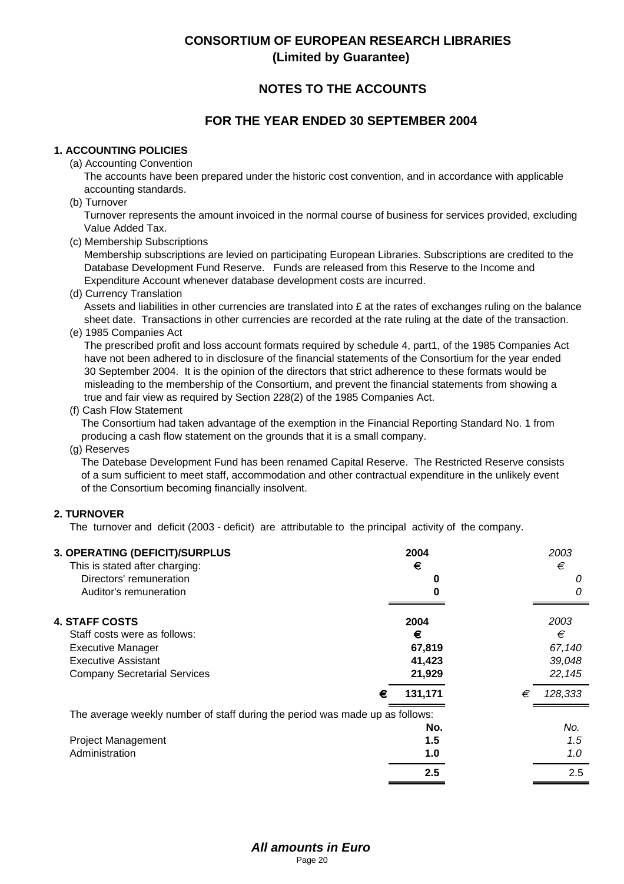# **NOTES TO THE ACCOUNTS**

## **FOR THE YEAR ENDED 30 SEPTEMBER 2004**

#### **1. ACCOUNTING POLICIES**

(a) Accounting Convention

 The accounts have been prepared under the historic cost convention, and in accordance with applicable accounting standards.

(b) Turnover

 Turnover represents the amount invoiced in the normal course of business for services provided, excluding Value Added Tax.

(c) Membership Subscriptions

 Membership subscriptions are levied on participating European Libraries. Subscriptions are credited to the Database Development Fund Reserve. Funds are released from this Reserve to the Income and Expenditure Account whenever database development costs are incurred.

(d) Currency Translation

Assets and liabilities in other currencies are translated into  $E$  at the rates of exchanges ruling on the balance sheet date. Transactions in other currencies are recorded at the rate ruling at the date of the transaction.

(e) 1985 Companies Act

 The prescribed profit and loss account formats required by schedule 4, part1, of the 1985 Companies Act have not been adhered to in disclosure of the financial statements of the Consortium for the year ended 30 September 2004. It is the opinion of the directors that strict adherence to these formats would be misleading to the membership of the Consortium, and prevent the financial statements from showing a true and fair view as required by Section 228(2) of the 1985 Companies Act.

(f) Cash Flow Statement

 The Consortium had taken advantage of the exemption in the Financial Reporting Standard No. 1 from producing a cash flow statement on the grounds that it is a small company.

(g) Reserves

 The Datebase Development Fund has been renamed Capital Reserve. The Restricted Reserve consists of a sum sufficient to meet staff, accommodation and other contractual expenditure in the unlikely event of the Consortium becoming financially insolvent.

#### **2. TURNOVER**

The turnover and deficit (2003 - deficit) are attributable to the principal activity of the company.

| 3. OPERATING (DEFICIT)/SURPLUS<br>This is stated after charging:<br>Directors' remuneration<br>Auditor's remuneration | 2004<br>€<br>O |   | 2003<br>€<br>0<br>Ω |
|-----------------------------------------------------------------------------------------------------------------------|----------------|---|---------------------|
|                                                                                                                       |                |   |                     |
| <b>4. STAFF COSTS</b>                                                                                                 | 2004           |   | 2003                |
| Staff costs were as follows:                                                                                          | €              |   | €                   |
| <b>Executive Manager</b>                                                                                              | 67,819         |   | 67,140              |
| Executive Assistant                                                                                                   | 41,423         |   | 39,048              |
| <b>Company Secretarial Services</b>                                                                                   | 21,929         |   | 22,145              |
|                                                                                                                       | 131,171<br>€   | € | 128,333             |
| The average weekly number of staff during the period was made up as follows:                                          |                |   |                     |
|                                                                                                                       | No.            |   | No.                 |
| <b>Project Management</b>                                                                                             | 1.5            |   | 1.5                 |
| Administration                                                                                                        | 1.0            |   | 1.0                 |
|                                                                                                                       | 2.5            |   | 2.5                 |
|                                                                                                                       |                |   |                     |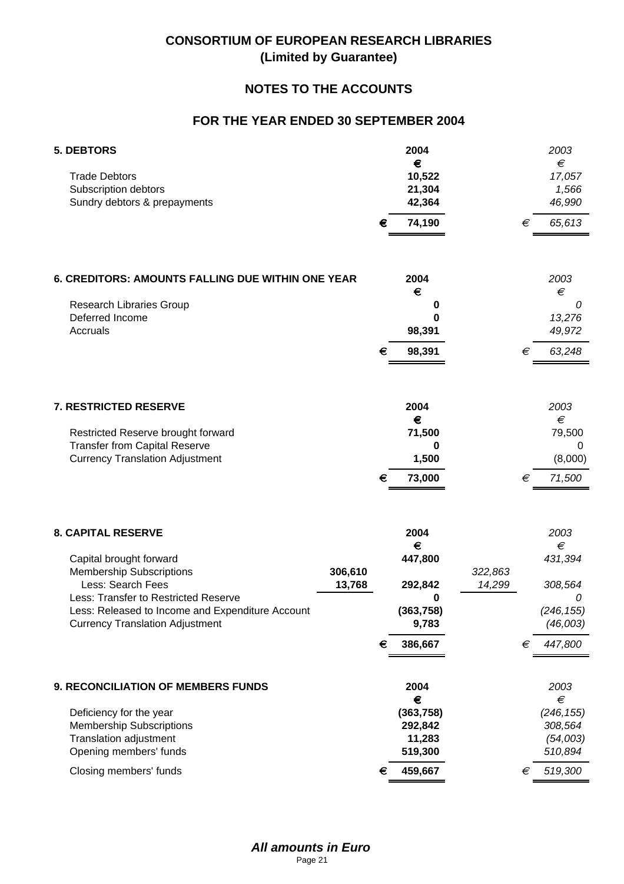# **NOTES TO THE ACCOUNTS**

# **FOR THE YEAR ENDED 30 SEPTEMBER 2004**

| <b>5. DEBTORS</b><br><b>Trade Debtors</b><br>Subscription debtors                                                                                                                                                                                                       | 2004<br>€<br>10,522<br>21,304                                               | 2003<br>€<br>17,057<br>1,566                                                                        |
|-------------------------------------------------------------------------------------------------------------------------------------------------------------------------------------------------------------------------------------------------------------------------|-----------------------------------------------------------------------------|-----------------------------------------------------------------------------------------------------|
| Sundry debtors & prepayments                                                                                                                                                                                                                                            | 42,364<br>74,190<br>€                                                       | 46,990<br>65,613<br>$\in$                                                                           |
| 6. CREDITORS: AMOUNTS FALLING DUE WITHIN ONE YEAR<br>Research Libraries Group<br>Deferred Income                                                                                                                                                                        | 2004<br>€<br>0                                                              | 2003<br>€<br>0<br>13,276                                                                            |
| Accruals                                                                                                                                                                                                                                                                | 98,391<br>98,391<br>€                                                       | 49,972<br>€<br>63,248                                                                               |
| 7. RESTRICTED RESERVE<br>Restricted Reserve brought forward<br><b>Transfer from Capital Reserve</b><br><b>Currency Translation Adjustment</b>                                                                                                                           | 2004<br>€<br>71,500<br>0<br>1,500<br>73,000<br>€                            | 2003<br>€<br>79,500<br>0<br>(8,000)<br>71,500<br>€                                                  |
| <b>8. CAPITAL RESERVE</b><br>Capital brought forward<br><b>Membership Subscriptions</b><br>306,610<br>Less: Search Fees<br>13,768<br>Less: Transfer to Restricted Reserve<br>Less: Released to Income and Expenditure Account<br><b>Currency Translation Adjustment</b> | 2004<br>€<br>447,800<br>292,842<br>0<br>(363, 758)<br>9,783<br>386,667<br>€ | 2003<br>€<br>431,394<br>322,863<br>14,299<br>308,564<br>0<br>(246, 155)<br>(46,003)<br>447,800<br>€ |
| 9. RECONCILIATION OF MEMBERS FUNDS<br>Deficiency for the year<br><b>Membership Subscriptions</b><br><b>Translation adjustment</b><br>Opening members' funds<br>Closing members' funds                                                                                   | 2004<br>€<br>(363, 758)<br>292,842<br>11,283<br>519,300<br>459,667<br>€     | 2003<br>€<br>(246, 155)<br>308,564<br>(54,003)<br>510,894<br>519,300<br>€                           |